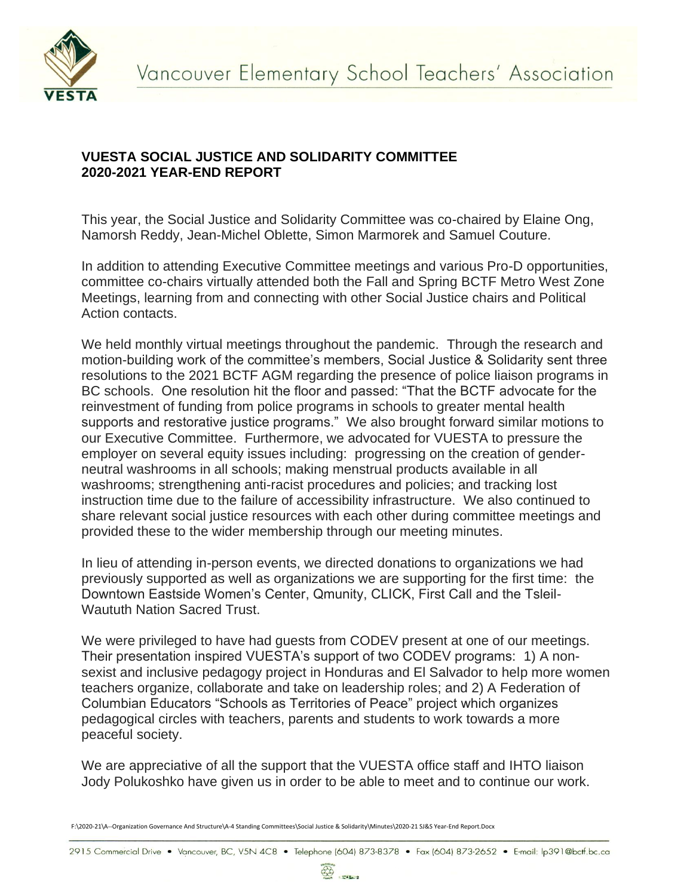

## **VUESTA SOCIAL JUSTICE AND SOLIDARITY COMMITTEE 2020-2021 YEAR-END REPORT**

This year, the Social Justice and Solidarity Committee was co-chaired by Elaine Ong, Namorsh Reddy, Jean-Michel Oblette, Simon Marmorek and Samuel Couture.

In addition to attending Executive Committee meetings and various Pro-D opportunities, committee co-chairs virtually attended both the Fall and Spring BCTF Metro West Zone Meetings, learning from and connecting with other Social Justice chairs and Political Action contacts.

We held monthly virtual meetings throughout the pandemic. Through the research and motion-building work of the committee's members, Social Justice & Solidarity sent three resolutions to the 2021 BCTF AGM regarding the presence of police liaison programs in BC schools. One resolution hit the floor and passed: "That the BCTF advocate for the reinvestment of funding from police programs in schools to greater mental health supports and restorative justice programs." We also brought forward similar motions to our Executive Committee. Furthermore, we advocated for VUESTA to pressure the employer on several equity issues including: progressing on the creation of genderneutral washrooms in all schools; making menstrual products available in all washrooms; strengthening anti-racist procedures and policies; and tracking lost instruction time due to the failure of accessibility infrastructure. We also continued to share relevant social justice resources with each other during committee meetings and provided these to the wider membership through our meeting minutes.

In lieu of attending in-person events, we directed donations to organizations we had previously supported as well as organizations we are supporting for the first time: the Downtown Eastside Women's Center, Qmunity, CLICK, First Call and the Tsleil-Waututh Nation Sacred Trust.

We were privileged to have had guests from CODEV present at one of our meetings. Their presentation inspired VUESTA's support of two CODEV programs: 1) A nonsexist and inclusive pedagogy project in Honduras and El Salvador to help more women teachers organize, collaborate and take on leadership roles; and 2) A Federation of Columbian Educators "Schools as Territories of Peace" project which organizes pedagogical circles with teachers, parents and students to work towards a more peaceful society.

We are appreciative of all the support that the VUESTA office staff and IHTO liaison Jody Polukoshko have given us in order to be able to meet and to continue our work.

F:\2020-21\A--Organization Governance And Structure\A-4 Standing Committees\Social Justice & Solidarity\Minutes\2020-21 SJ&S Year-End Report.Docx